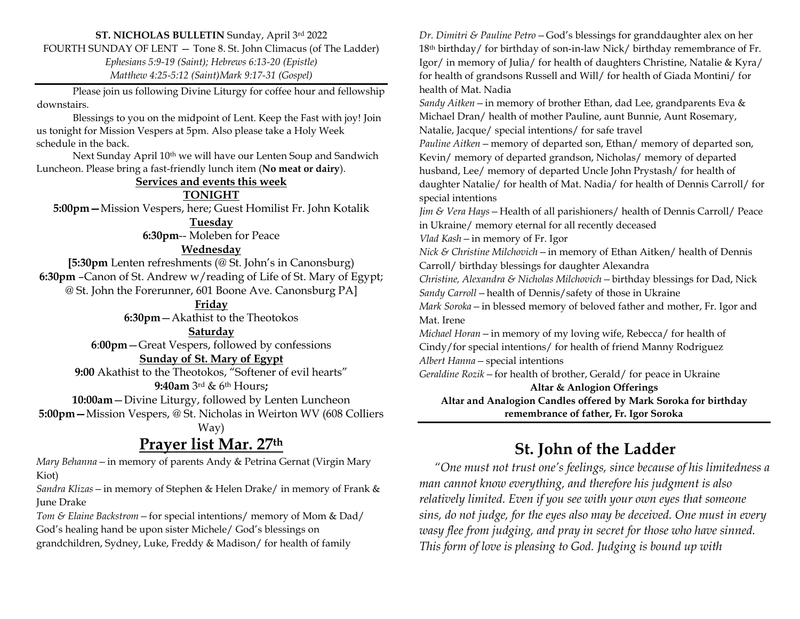### **ST. NICHOLAS BULLETIN** Sunday, April 3rd 2022

FOURTH SUNDAY OF LENT — Tone 8. St. John Climacus (of The Ladder)

*Ephesians 5:9-19 (Saint); Hebrews 6:13-20 (Epistle) Matthew 4:25-5:12 (Saint)Mark 9:17-31 (Gospel)*

Please join us following Divine Liturgy for coffee hour and fellowship downstairs.

Blessings to you on the midpoint of Lent. Keep the Fast with joy! Join us tonight for Mission Vespers at 5pm. Also please take a Holy Week schedule in the back.

Next Sunday April 10th we will have our Lenten Soup and Sandwich Luncheon. Please bring a fast-friendly lunch item (**No meat or dairy**).

#### **Services and events this week**

**TONIGHT**

**5:00pm—**Mission Vespers, here; Guest Homilist Fr. John Kotalik

**Tuesday**

**6:30pm**-- Moleben for Peace

### **Wednesday**

**[5:30pm** Lenten refreshments (@ St. John's in Canonsburg) **6:30pm** –Canon of St. Andrew w/reading of Life of St. Mary of Egypt; @ St. John the Forerunner, 601 Boone Ave. Canonsburg PA]

### **Friday**

**6:30pm**—Akathist to the Theotokos

**Saturday**

**6**:**00pm**—Great Vespers, followed by confessions

### **Sunday of St. Mary of Egypt**

**9:00** Akathist to the Theotokos, "Softener of evil hearts" **9:40am** 3rd & 6th Hours**;** 

**10:00am**—Divine Liturgy, followed by Lenten Luncheon

**5:00pm—**Mission Vespers, @ St. Nicholas in Weirton WV (608 Colliers

Way)

### **Prayer list Mar. 27th**

*Mary Behanna—*in memory of parents Andy & Petrina Gernat (Virgin Mary Kiot)

*Sandra Klizas—*in memory of Stephen & Helen Drake/ in memory of Frank & June Drake

*Tom & Elaine Backstrom—*for special intentions/ memory of Mom & Dad/ God's healing hand be upon sister Michele/ God's blessings on grandchildren, Sydney, Luke, Freddy & Madison/ for health of family

*Dr. Dimitri & Pauline Petro—*God's blessings for granddaughter alex on her 18<sup>th</sup> birthday/ for birthday of son-in-law Nick/ birthday remembrance of Fr. Igor/ in memory of Julia/ for health of daughters Christine, Natalie & Kyra/ for health of grandsons Russell and Will/ for health of Giada Montini/ for health of Mat. Nadia

*Sandy Aitken—*in memory of brother Ethan, dad Lee, grandparents Eva & Michael Dran/ health of mother Pauline, aunt Bunnie, Aunt Rosemary, Natalie, Jacque/ special intentions/ for safe travel

*Pauline Aitken—*memory of departed son, Ethan/ memory of departed son, Kevin/ memory of departed grandson, Nicholas/ memory of departed husband, Lee/ memory of departed Uncle John Prystash/ for health of daughter Natalie/ for health of Mat. Nadia/ for health of Dennis Carroll/ for special intentions

*Jim & Vera Hays—*Health of all parishioners/ health of Dennis Carroll/ Peace in Ukraine/ memory eternal for all recently deceased

*Vlad Kash—*in memory of Fr. Igor

*Nick & Christine Milchovich—*in memory of Ethan Aitken/ health of Dennis Carroll/ birthday blessings for daughter Alexandra

*Christine, Alexandra & Nicholas Milchovich—*birthday blessings for Dad, Nick *Sandy Carroll—*health of Dennis/safety of those in Ukraine

*Mark Soroka—*in blessed memory of beloved father and mother, Fr. Igor and Mat. Irene

*Michael Horan—*in memory of my loving wife, Rebecca/ for health of Cindy/for special intentions/ for health of friend Manny Rodriguez *Albert Hanna—*special intentions

*Geraldine Rozik—*for health of brother, Gerald/ for peace in Ukraine

**Altar & Anlogion Offerings Altar and Analogion Candles offered by Mark Soroka for birthday remembrance of father, Fr. Igor Soroka**

## **St. John of the Ladder**

 *"One must not trust one's feelings, since because of his limitedness a man cannot know everything, and therefore his judgment is also relatively limited. Even if you see with your own eyes that someone sins, do not judge, for the eyes also may be deceived. One must in every wasy flee from judging, and pray in secret for those who have sinned. This form of love is pleasing to God. Judging is bound up with*